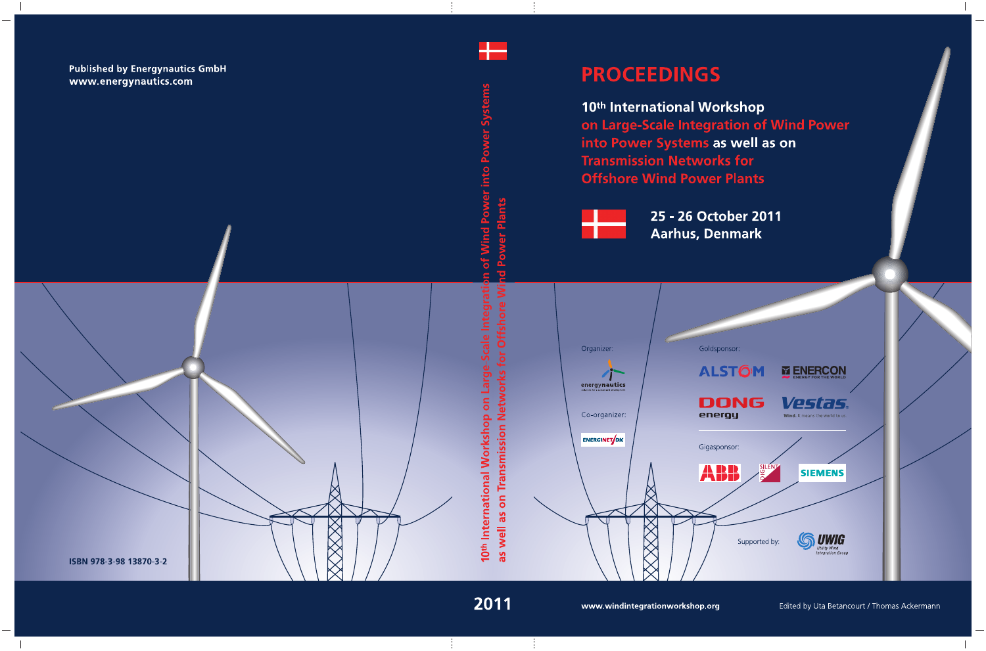# **PROCEEDINGS**

10th International Workshop on Large-Scale Integration of Wind Power into Power Systems as well as on **Transmission Networks for Offshore Wind Power Plants** 



25 - 26 October 2011 **Aarhus, Denmark** 

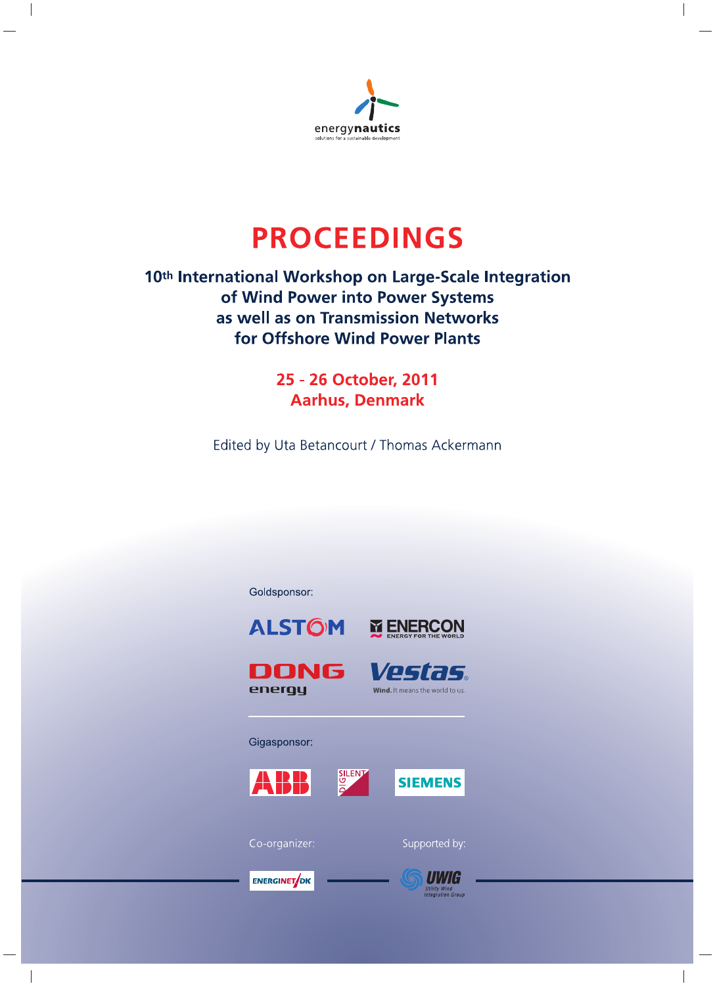

# **PROCEEDINGS**

# 10th International Workshop on Large-Scale Integration of Wind Power into Power Systems as well as on Transmission Networks for Offshore Wind Power Plants

25 - 26 October, 2011 **Aarhus, Denmark** 

Edited by Uta Betancourt / Thomas Ackermann



**ENERGINET**OK

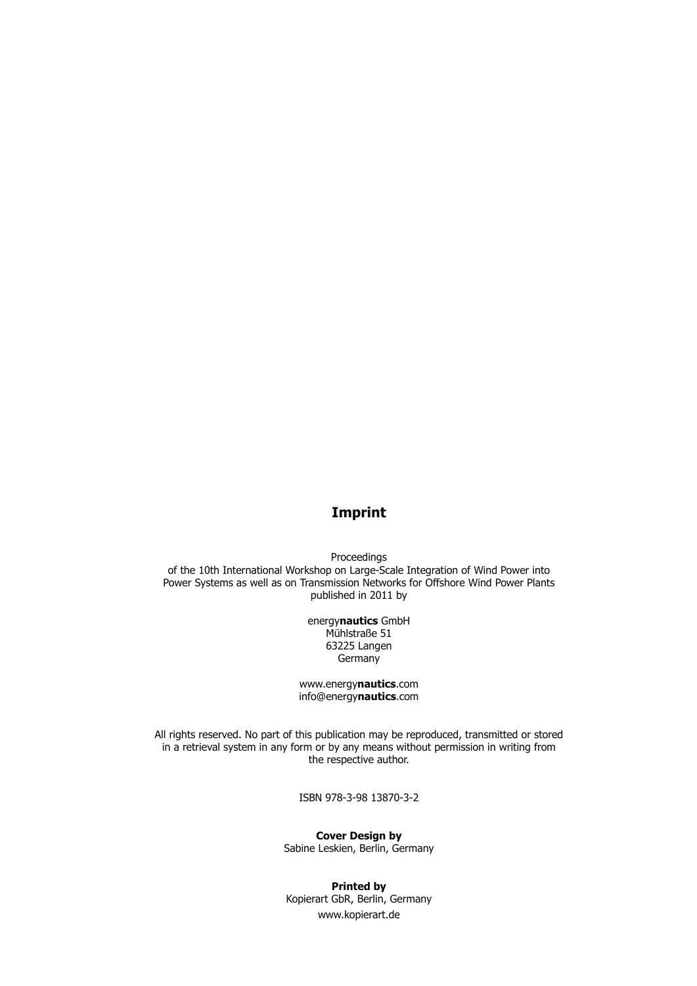## **Imprint**

Proceedings of the 10th International Workshop on Large-Scale Integration of Wind Power into Power Systems as well as on Transmission Networks for Offshore Wind Power Plants published in 2011 by

> energy**nautics** GmbH Mühlstraße 51 63225 Langen **Germany**

www.energy**nautics**.com info@energy**nautics**.com

All rights reserved. No part of this publication may be reproduced, transmitted or stored in a retrieval system in any form or by any means without permission in writing from the respective author.

ISBN 978-3-98 13870-3-2

**Cover Design by** Sabine Leskien, Berlin, Germany

**Printed by** Kopierart GbR, Berlin, Germany www.kopierart.de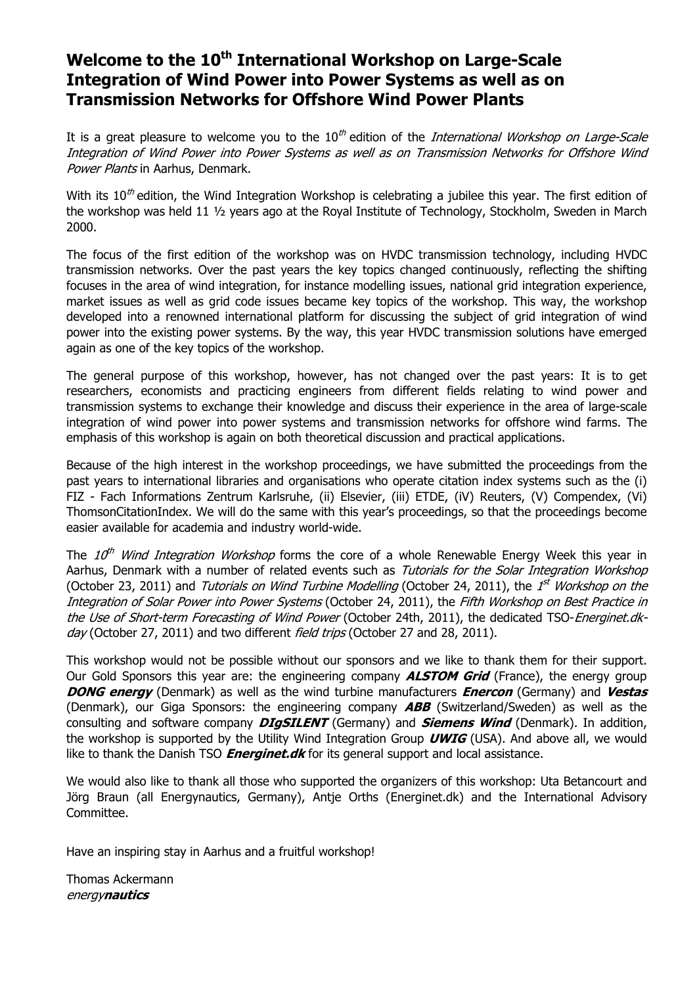# Welcome to the 10<sup>th</sup> International Workshop on Large-Scale **Integration of Wind Power into Power Systems as well as on Transmission Networks for Offshore Wind Power Plants**

It is a great pleasure to welcome you to the  $10^{th}$  edition of the *International Workshop on Large-Scale* Integration of Wind Power into Power Systems as well as on Transmission Networks for Offshore Wind Power Plants in Aarhus, Denmark.

With its  $10^{th}$  edition, the Wind Integration Workshop is celebrating a jubilee this year. The first edition of the workshop was held 11 ½ years ago at the Royal Institute of Technology, Stockholm, Sweden in March 2000.

The focus of the first edition of the workshop was on HVDC transmission technology, including HVDC transmission networks. Over the past years the key topics changed continuously, reflecting the shifting focuses in the area of wind integration, for instance modelling issues, national grid integration experience, market issues as well as grid code issues became key topics of the workshop. This way, the workshop developed into a renowned international platform for discussing the subject of grid integration of wind power into the existing power systems. By the way, this year HVDC transmission solutions have emerged again as one of the key topics of the workshop.

The general purpose of this workshop, however, has not changed over the past years: It is to get researchers, economists and practicing engineers from different fields relating to wind power and transmission systems to exchange their knowledge and discuss their experience in the area of large-scale integration of wind power into power systems and transmission networks for offshore wind farms. The emphasis of this workshop is again on both theoretical discussion and practical applications.

Because of the high interest in the workshop proceedings, we have submitted the proceedings from the past years to international libraries and organisations who operate citation index systems such as the (i) FIZ - Fach Informations Zentrum Karlsruhe, (ii) Elsevier, (iii) ETDE, (iV) Reuters, (V) Compendex, (Vi) ThomsonCitationIndex. We will do the same with this year's proceedings, so that the proceedings become easier available for academia and industry world-wide.

The 10<sup>th</sup> Wind Integration Workshop forms the core of a whole Renewable Energy Week this year in Aarhus, Denmark with a number of related events such as Tutorials for the Solar Integration Workshop (October 23, 2011) and *Tutorials on Wind Turbine Modelling* (October 24, 2011), the 1<sup>st</sup> Workshop on the Integration of Solar Power into Power Systems (October 24, 2011), the Fifth Workshop on Best Practice in the Use of Short-term Forecasting of Wind Power (October 24th, 2011), the dedicated TSO-Energinet.dkday (October 27, 2011) and two different field trips (October 27 and 28, 2011).

This workshop would not be possible without our sponsors and we like to thank them for their support. Our Gold Sponsors this year are: the engineering company **ALSTOM Grid** (France), the energy group **DONG energy** (Denmark) as well as the wind turbine manufacturers **Enercon** (Germany) and **Vestas**  (Denmark), our Giga Sponsors: the engineering company **ABB** (Switzerland/Sweden) as well as the consulting and software company **DIgSILENT** (Germany) and **Siemens Wind** (Denmark). In addition, the workshop is supported by the Utility Wind Integration Group **UWIG** (USA). And above all, we would like to thank the Danish TSO **Energinet.dk** for its general support and local assistance.

We would also like to thank all those who supported the organizers of this workshop: Uta Betancourt and Jörg Braun (all Energynautics, Germany), Antje Orths (Energinet.dk) and the International Advisory Committee.

Have an inspiring stay in Aarhus and a fruitful workshop!

Thomas Ackermann energy**nautics**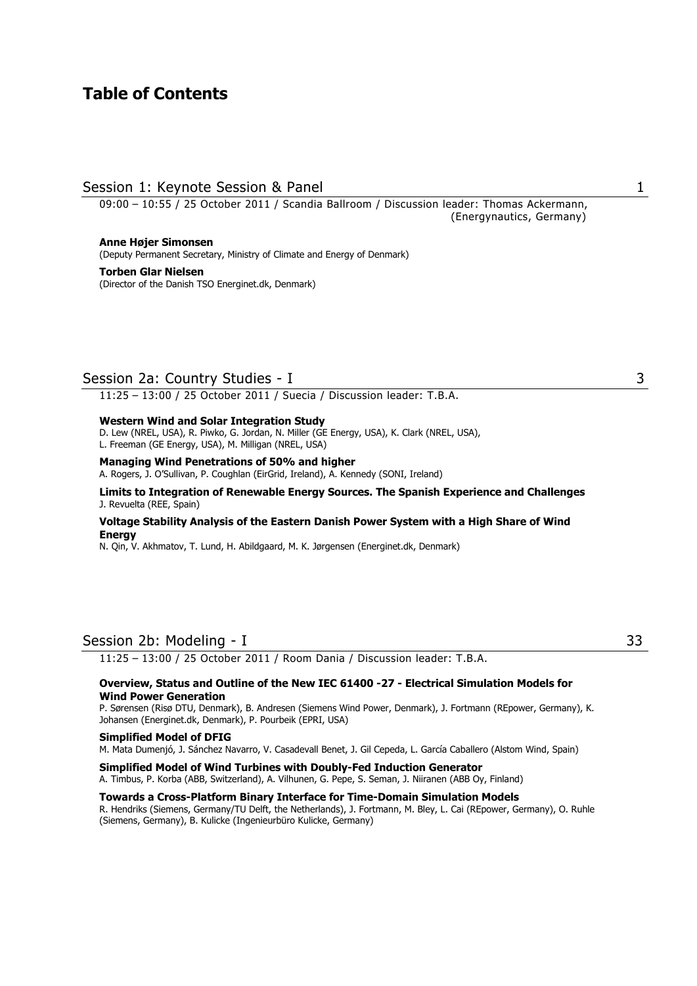## **Table of Contents**

## Session 1: Keynote Session & Panel 1 and 1 and 1 and 1 and 1 and 1 and 1 and 1 and 1 and 1 and 1 and 1 and 1 and 1 and 1 and 1 and 1 and 1 and 1 and 1 and 1 and 1 and 1 and 1 and 1 and 1 and 1 and 1 and 1 and 1 and 1 and 1

09:00 – 10:55 / 25 October 2011 / Scandia Ballroom / Discussion leader: Thomas Ackermann, (Energynautics, Germany)

**Anne Højer Simonsen**  (Deputy Permanent Secretary, Ministry of Climate and Energy of Denmark)

**Torben Glar Nielsen**  (Director of the Danish TSO Energinet.dk, Denmark)

## Session 2a: Country Studies - I 3

11:25 – 13:00 / 25 October 2011 / Suecia / Discussion leader: T.B.A.

#### **Western Wind and Solar Integration Study**

D. Lew (NREL, USA), R. Piwko, G. Jordan, N. Miller (GE Energy, USA), K. Clark (NREL, USA), L. Freeman (GE Energy, USA), M. Milligan (NREL, USA)

#### **Managing Wind Penetrations of 50% and higher**

A. Rogers, J. O'Sullivan, P. Coughlan (EirGrid, Ireland), A. Kennedy (SONI, Ireland)

#### **Limits to Integration of Renewable Energy Sources. The Spanish Experience and Challenges**  J. Revuelta (REE, Spain)

#### **Voltage Stability Analysis of the Eastern Danish Power System with a High Share of Wind Energy**

N. Qin, V. Akhmatov, T. Lund, H. Abildgaard, M. K. Jørgensen (Energinet.dk, Denmark)

## Session 2b: Modeling - I 33

11:25 – 13:00 / 25 October 2011 / Room Dania / Discussion leader: T.B.A.

#### **Overview, Status and Outline of the New IEC 61400 -27 - Electrical Simulation Models for Wind Power Generation**

P. Sørensen (Risø DTU, Denmark), B. Andresen (Siemens Wind Power, Denmark), J. Fortmann (REpower, Germany), K. Johansen (Energinet.dk, Denmark), P. Pourbeik (EPRI, USA)

#### **Simplified Model of DFIG**

M. Mata Dumenjó, J. Sánchez Navarro, V. Casadevall Benet, J. Gil Cepeda, L. García Caballero (Alstom Wind, Spain)

**Simplified Model of Wind Turbines with Doubly-Fed Induction Generator** 

A. Timbus, P. Korba (ABB, Switzerland), A. Vilhunen, G. Pepe, S. Seman, J. Niiranen (ABB Oy, Finland)

#### **Towards a Cross-Platform Binary Interface for Time-Domain Simulation Models**

R. Hendriks (Siemens, Germany/TU Delft, the Netherlands), J. Fortmann, M. Bley, L. Cai (REpower, Germany), O. Ruhle (Siemens, Germany), B. Kulicke (Ingenieurbüro Kulicke, Germany)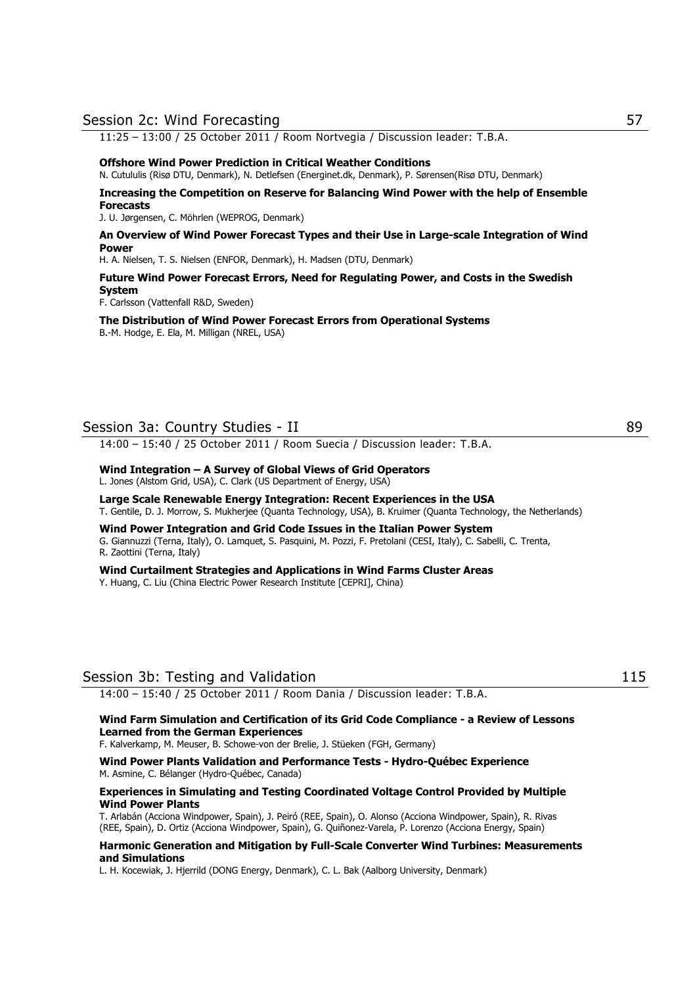#### Session 2c: Wind Forecasting 57

11:25 – 13:00 / 25 October 2011 / Room Nortvegia / Discussion leader: T.B.A.

#### **Offshore Wind Power Prediction in Critical Weather Conditions**

N. Cutululis (Risø DTU, Denmark), N. Detlefsen (Energinet.dk, Denmark), P. Sørensen(Risø DTU, Denmark)

#### **Increasing the Competition on Reserve for Balancing Wind Power with the help of Ensemble Forecasts**

J. U. Jørgensen, C. Möhrlen (WEPROG, Denmark)

#### **An Overview of Wind Power Forecast Types and their Use in Large-scale Integration of Wind Power**

H. A. Nielsen, T. S. Nielsen (ENFOR, Denmark), H. Madsen (DTU, Denmark)

#### **Future Wind Power Forecast Errors, Need for Regulating Power, and Costs in the Swedish System**

F. Carlsson (Vattenfall R&D, Sweden)

**The Distribution of Wind Power Forecast Errors from Operational Systems**  B.-M. Hodge, E. Ela, M. Milligan (NREL, USA)

## Session 3a: Country Studies - II 89

14:00 – 15:40 / 25 October 2011 / Room Suecia / Discussion leader: T.B.A.

## **Wind Integration – A Survey of Global Views of Grid Operators**

L. Jones (Alstom Grid, USA), C. Clark (US Department of Energy, USA)

#### **Large Scale Renewable Energy Integration: Recent Experiences in the USA**  T. Gentile, D. J. Morrow, S. Mukherjee (Quanta Technology, USA), B. Kruimer (Quanta Technology, the Netherlands)

### **Wind Power Integration and Grid Code Issues in the Italian Power System**

G. Giannuzzi (Terna, Italy), O. Lamquet, S. Pasquini, M. Pozzi, F. Pretolani (CESI, Italy), C. Sabelli, C. Trenta, R. Zaottini (Terna, Italy)

## **Wind Curtailment Strategies and Applications in Wind Farms Cluster Areas**

Y. Huang, C. Liu (China Electric Power Research Institute [CEPRI], China)

## Session 3b: Testing and Validation 115

14:00 – 15:40 / 25 October 2011 / Room Dania / Discussion leader: T.B.A.

#### **Wind Farm Simulation and Certification of its Grid Code Compliance - a Review of Lessons Learned from the German Experiences**

F. Kalverkamp, M. Meuser, B. Schowe-von der Brelie, J. Stüeken (FGH, Germany)

**Wind Power Plants Validation and Performance Tests - Hydro-Québec Experience**  M. Asmine, C. Bélanger (Hydro-Québec, Canada)

#### **Experiences in Simulating and Testing Coordinated Voltage Control Provided by Multiple Wind Power Plants**

T. Arlabán (Acciona Windpower, Spain), J. Peiró (REE, Spain), O. Alonso (Acciona Windpower, Spain), R. Rivas (REE, Spain), D. Ortiz (Acciona Windpower, Spain), G. Quiñonez-Varela, P. Lorenzo (Acciona Energy, Spain)

#### **Harmonic Generation and Mitigation by Full-Scale Converter Wind Turbines: Measurements and Simulations**

L. H. Kocewiak, J. Hjerrild (DONG Energy, Denmark), C. L. Bak (Aalborg University, Denmark)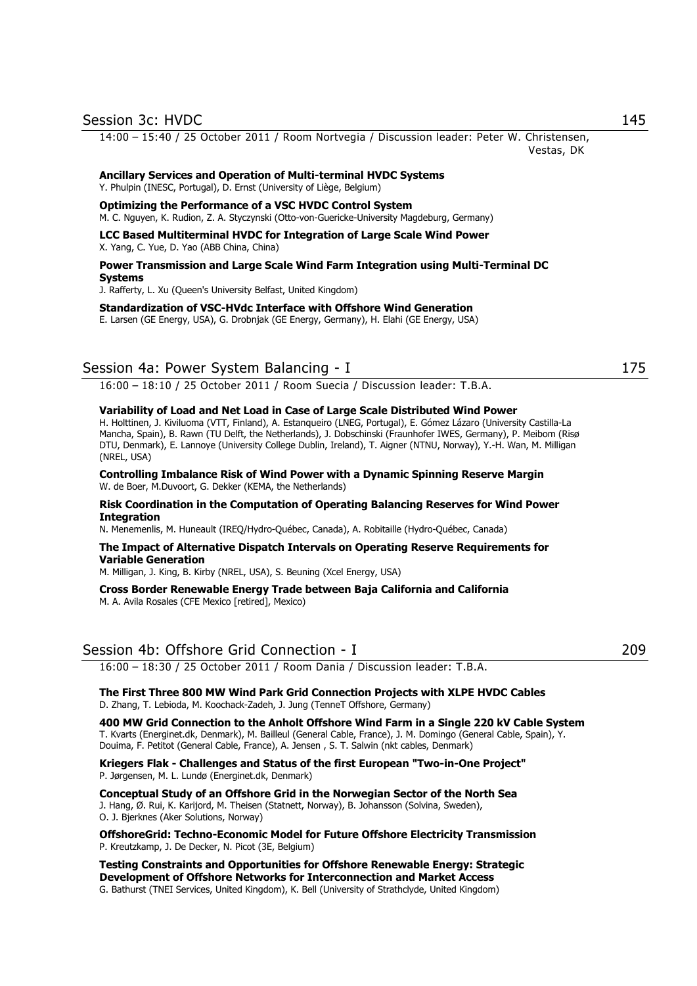14:00 – 15:40 / 25 October 2011 / Room Nortvegia / Discussion leader: Peter W. Christensen, Vestas, DK

#### **Ancillary Services and Operation of Multi-terminal HVDC Systems**

Y. Phulpin (INESC, Portugal), D. Ernst (University of Liège, Belgium)

#### **Optimizing the Performance of a VSC HVDC Control System**

M. C. Nguyen, K. Rudion, Z. A. Styczynski (Otto-von-Guericke-University Magdeburg, Germany)

## **LCC Based Multiterminal HVDC for Integration of Large Scale Wind Power**

X. Yang, C. Yue, D. Yao (ABB China, China)

#### **Power Transmission and Large Scale Wind Farm Integration using Multi-Terminal DC Systems**

J. Rafferty, L. Xu (Queen's University Belfast, United Kingdom)

**Standardization of VSC-HVdc Interface with Offshore Wind Generation** 

E. Larsen (GE Energy, USA), G. Drobnjak (GE Energy, Germany), H. Elahi (GE Energy, USA)

## Session 4a: Power System Balancing - I 175

16:00 – 18:10 / 25 October 2011 / Room Suecia / Discussion leader: T.B.A.

#### **Variability of Load and Net Load in Case of Large Scale Distributed Wind Power**

H. Holttinen, J. Kiviluoma (VTT, Finland), A. Estanqueiro (LNEG, Portugal), E. Gómez Lázaro (University Castilla-La Mancha, Spain), B. Rawn (TU Delft, the Netherlands), J. Dobschinski (Fraunhofer IWES, Germany), P. Meibom (Risø DTU, Denmark), E. Lannoye (University College Dublin, Ireland), T. Aigner (NTNU, Norway), Y.-H. Wan, M. Milligan (NREL, USA)

#### **Controlling Imbalance Risk of Wind Power with a Dynamic Spinning Reserve Margin**  W. de Boer, M.Duvoort, G. Dekker (KEMA, the Netherlands)

#### **Risk Coordination in the Computation of Operating Balancing Reserves for Wind Power Integration**

N. Menemenlis, M. Huneault (IREQ/Hydro-Québec, Canada), A. Robitaille (Hydro-Québec, Canada)

#### **The Impact of Alternative Dispatch Intervals on Operating Reserve Requirements for Variable Generation**

M. Milligan, J. King, B. Kirby (NREL, USA), S. Beuning (Xcel Energy, USA)

**Cross Border Renewable Energy Trade between Baja California and California**  M. A. Avila Rosales (CFE Mexico [retired], Mexico)

## Session 4b: Offshore Grid Connection - I 209

16:00 – 18:30 / 25 October 2011 / Room Dania / Discussion leader: T.B.A.

**The First Three 800 MW Wind Park Grid Connection Projects with XLPE HVDC Cables**  D. Zhang, T. Lebioda, M. Koochack-Zadeh, J. Jung (TenneT Offshore, Germany)

**400 MW Grid Connection to the Anholt Offshore Wind Farm in a Single 220 kV Cable System**  T. Kvarts (Energinet.dk, Denmark), M. Bailleul (General Cable, France), J. M. Domingo (General Cable, Spain), Y. Douima, F. Petitot (General Cable, France), A. Jensen , S. T. Salwin (nkt cables, Denmark)

**Kriegers Flak - Challenges and Status of the first European "Two-in-One Project"**  P. Jørgensen, M. L. Lundø (Energinet.dk, Denmark)

**Conceptual Study of an Offshore Grid in the Norwegian Sector of the North Sea**  J. Hang, Ø. Rui, K. Karijord, M. Theisen (Statnett, Norway), B. Johansson (Solvina, Sweden), O. J. Bjerknes (Aker Solutions, Norway)

**OffshoreGrid: Techno-Economic Model for Future Offshore Electricity Transmission**  P. Kreutzkamp, J. De Decker, N. Picot (3E, Belgium)

**Testing Constraints and Opportunities for Offshore Renewable Energy: Strategic Development of Offshore Networks for Interconnection and Market Access**  G. Bathurst (TNEI Services, United Kingdom), K. Bell (University of Strathclyde, United Kingdom)

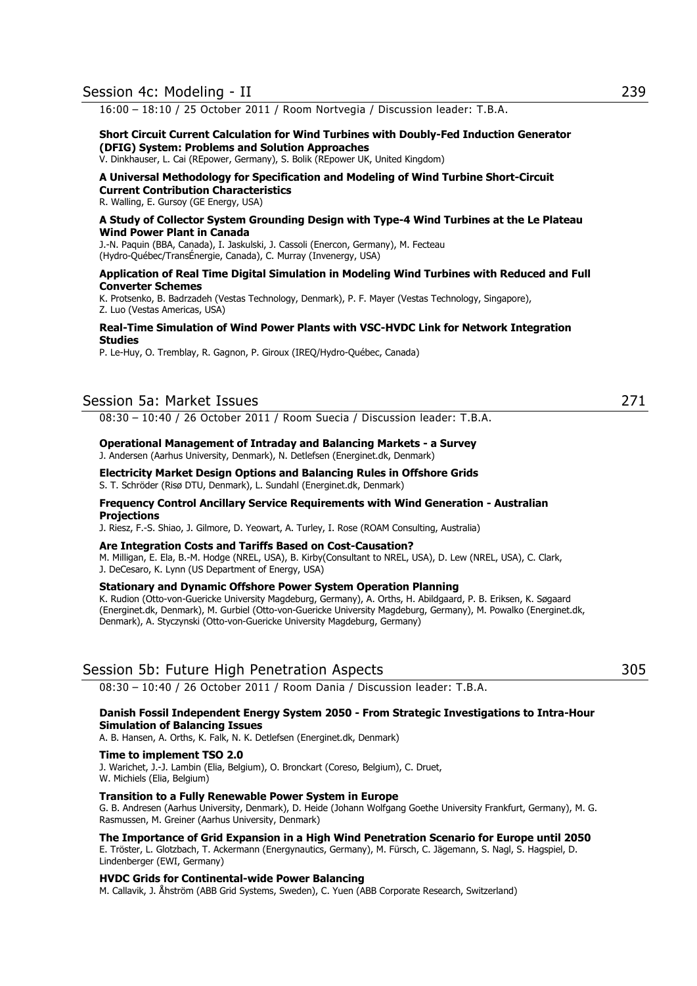16:00 – 18:10 / 25 October 2011 / Room Nortvegia / Discussion leader: T.B.A.

#### **Short Circuit Current Calculation for Wind Turbines with Doubly-Fed Induction Generator (DFIG) System: Problems and Solution Approaches**

V. Dinkhauser, L. Cai (REpower, Germany), S. Bolik (REpower UK, United Kingdom)

#### **A Universal Methodology for Specification and Modeling of Wind Turbine Short-Circuit Current Contribution Characteristics**

R. Walling, E. Gursoy (GE Energy, USA)

#### **A Study of Collector System Grounding Design with Type-4 Wind Turbines at the Le Plateau Wind Power Plant in Canada**

J.-N. Paquin (BBA, Canada), I. Jaskulski, J. Cassoli (Enercon, Germany), M. Fecteau (Hydro-Québec/TransÉnergie, Canada), C. Murray (Invenergy, USA)

#### **Application of Real Time Digital Simulation in Modeling Wind Turbines with Reduced and Full Converter Schemes**

K. Protsenko, B. Badrzadeh (Vestas Technology, Denmark), P. F. Mayer (Vestas Technology, Singapore), Z. Luo (Vestas Americas, USA)

#### **Real-Time Simulation of Wind Power Plants with VSC-HVDC Link for Network Integration Studies**

P. Le-Huy, O. Tremblay, R. Gagnon, P. Giroux (IREQ/Hydro-Québec, Canada)

## Session 5a: Market Issues 271

08:30 – 10:40 / 26 October 2011 / Room Suecia / Discussion leader: T.B.A.

#### **Operational Management of Intraday and Balancing Markets - a Survey**

J. Andersen (Aarhus University, Denmark), N. Detlefsen (Energinet.dk, Denmark)

#### **Electricity Market Design Options and Balancing Rules in Offshore Grids**

S. T. Schröder (Risø DTU, Denmark), L. Sundahl (Energinet.dk, Denmark)

#### **Frequency Control Ancillary Service Requirements with Wind Generation - Australian Projections**

J. Riesz, F.-S. Shiao, J. Gilmore, D. Yeowart, A. Turley, I. Rose (ROAM Consulting, Australia)

#### **Are Integration Costs and Tariffs Based on Cost-Causation?**

M. Milligan, E. Ela, B.-M. Hodge (NREL, USA), B. Kirby(Consultant to NREL, USA), D. Lew (NREL, USA), C. Clark, J. DeCesaro, K. Lynn (US Department of Energy, USA)

#### **Stationary and Dynamic Offshore Power System Operation Planning**

K. Rudion (Otto-von-Guericke University Magdeburg, Germany), A. Orths, H. Abildgaard, P. B. Eriksen, K. Søgaard (Energinet.dk, Denmark), M. Gurbiel (Otto-von-Guericke University Magdeburg, Germany), M. Powalko (Energinet.dk, Denmark), A. Styczynski (Otto-von-Guericke University Magdeburg, Germany)

## Session 5b: Future High Penetration Aspects 305

08:30 – 10:40 / 26 October 2011 / Room Dania / Discussion leader: T.B.A.

#### **Danish Fossil Independent Energy System 2050 - From Strategic Investigations to Intra-Hour Simulation of Balancing Issues**

A. B. Hansen, A. Orths, K. Falk, N. K. Detlefsen (Energinet.dk, Denmark)

#### **Time to implement TSO 2.0**

J. Warichet, J.-J. Lambin (Elia, Belgium), O. Bronckart (Coreso, Belgium), C. Druet, W. Michiels (Elia, Belgium)

#### **Transition to a Fully Renewable Power System in Europe**

G. B. Andresen (Aarhus University, Denmark), D. Heide (Johann Wolfgang Goethe University Frankfurt, Germany), M. G. Rasmussen, M. Greiner (Aarhus University, Denmark)

#### **The Importance of Grid Expansion in a High Wind Penetration Scenario for Europe until 2050**

E. Tröster, L. Glotzbach, T. Ackermann (Energynautics, Germany), M. Fürsch, C. Jägemann, S. Nagl, S. Hagspiel, D. Lindenberger (EWI, Germany)

#### **HVDC Grids for Continental-wide Power Balancing**

M. Callavik, J. Åhström (ABB Grid Systems, Sweden), C. Yuen (ABB Corporate Research, Switzerland)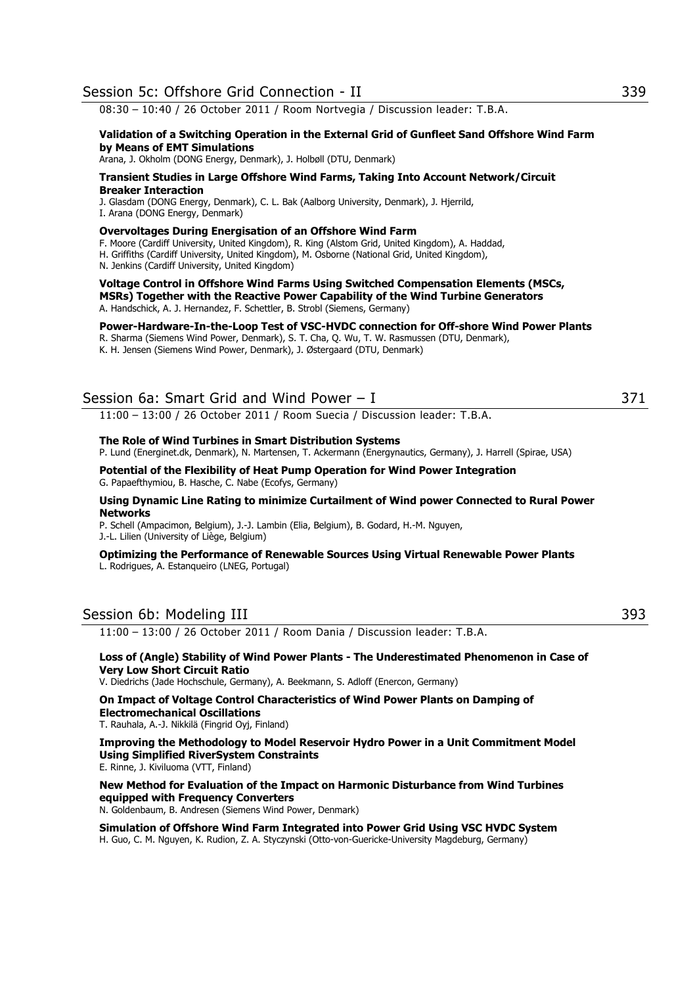08:30 – 10:40 / 26 October 2011 / Room Nortvegia / Discussion leader: T.B.A.

#### **Validation of a Switching Operation in the External Grid of Gunfleet Sand Offshore Wind Farm by Means of EMT Simulations**

Arana, J. Okholm (DONG Energy, Denmark), J. Holbøll (DTU, Denmark)

#### **Transient Studies in Large Offshore Wind Farms, Taking Into Account Network/Circuit Breaker Interaction**

J. Glasdam (DONG Energy, Denmark), C. L. Bak (Aalborg University, Denmark), J. Hjerrild,

I. Arana (DONG Energy, Denmark)

#### **Overvoltages During Energisation of an Offshore Wind Farm**

F. Moore (Cardiff University, United Kingdom), R. King (Alstom Grid, United Kingdom), A. Haddad,

H. Griffiths (Cardiff University, United Kingdom), M. Osborne (National Grid, United Kingdom),

N. Jenkins (Cardiff University, United Kingdom)

#### **Voltage Control in Offshore Wind Farms Using Switched Compensation Elements (MSCs, MSRs) Together with the Reactive Power Capability of the Wind Turbine Generators** A. Handschick, A. J. Hernandez, F. Schettler, B. Strobl (Siemens, Germany)

**Power-Hardware-In-the-Loop Test of VSC-HVDC connection for Off-shore Wind Power Plants**

R. Sharma (Siemens Wind Power, Denmark), S. T. Cha, Q. Wu, T. W. Rasmussen (DTU, Denmark),

K. H. Jensen (Siemens Wind Power, Denmark), J. Østergaard (DTU, Denmark)

## Session 6a: Smart Grid and Wind Power – I 371

11:00 – 13:00 / 26 October 2011 / Room Suecia / Discussion leader: T.B.A.

#### **The Role of Wind Turbines in Smart Distribution Systems**

P. Lund (Energinet.dk, Denmark), N. Martensen, T. Ackermann (Energynautics, Germany), J. Harrell (Spirae, USA)

**Potential of the Flexibility of Heat Pump Operation for Wind Power Integration** 

G. Papaefthymiou, B. Hasche, C. Nabe (Ecofys, Germany)

#### **Using Dynamic Line Rating to minimize Curtailment of Wind power Connected to Rural Power Networks**

P. Schell (Ampacimon, Belgium), J.-J. Lambin (Elia, Belgium), B. Godard, H.-M. Nguyen, J.-L. Lilien (University of Liège, Belgium)

#### **Optimizing the Performance of Renewable Sources Using Virtual Renewable Power Plants**  L. Rodrigues, A. Estanqueiro (LNEG, Portugal)

## Session 6b: Modeling III 393

11:00 – 13:00 / 26 October 2011 / Room Dania / Discussion leader: T.B.A.

#### **Loss of (Angle) Stability of Wind Power Plants - The Underestimated Phenomenon in Case of Very Low Short Circuit Ratio**

V. Diedrichs (Jade Hochschule, Germany), A. Beekmann, S. Adloff (Enercon, Germany)

#### **On Impact of Voltage Control Characteristics of Wind Power Plants on Damping of Electromechanical Oscillations**

T. Rauhala, A.-J. Nikkilä (Fingrid Oyj, Finland)

**Improving the Methodology to Model Reservoir Hydro Power in a Unit Commitment Model Using Simplified RiverSystem Constraints**  E. Rinne, J. Kiviluoma (VTT, Finland)

**New Method for Evaluation of the Impact on Harmonic Disturbance from Wind Turbines equipped with Frequency Converters** 

N. Goldenbaum, B. Andresen (Siemens Wind Power, Denmark)

**Simulation of Offshore Wind Farm Integrated into Power Grid Using VSC HVDC System**  H. Guo, C. M. Nguyen, K. Rudion, Z. A. Styczynski (Otto-von-Guericke-University Magdeburg, Germany)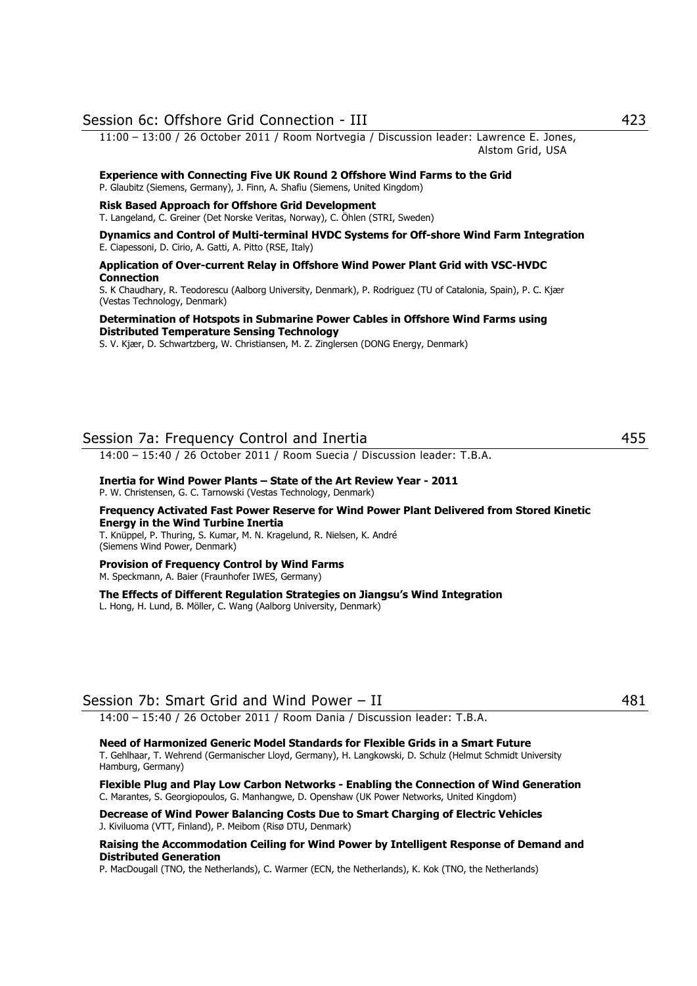## Session 6c: Offshore Grid Connection - III 423

11:00 – 13:00 / 26 October 2011 / Room Nortvegia / Discussion leader: Lawrence E. Jones, Alstom Grid, USA

#### **Experience with Connecting Five UK Round 2 Offshore Wind Farms to the Grid** P. Glaubitz (Siemens, Germany), J. Finn, A. Shafiu (Siemens, United Kingdom)

#### **Risk Based Approach for Offshore Grid Development**

T. Langeland, C. Greiner (Det Norske Veritas, Norway), C. Öhlen (STRI, Sweden)

#### **Dynamics and Control of Multi-terminal HVDC Systems for Off-shore Wind Farm Integration** E. Ciapessoni, D. Cirio, A. Gatti, A. Pitto (RSE, Italy)

**Application of Over-current Relay in Offshore Wind Power Plant Grid with VSC-HVDC Connection**

S. K Chaudhary, R. Teodorescu (Aalborg University, Denmark), P. Rodriguez (TU of Catalonia, Spain), P. C. Kjær (Vestas Technology, Denmark)

#### **Determination of Hotspots in Submarine Power Cables in Offshore Wind Farms using Distributed Temperature Sensing Technology**

S. V. Kjær, D. Schwartzberg, W. Christiansen, M. Z. Zinglersen (DONG Energy, Denmark)

## Session 7a: Frequency Control and Inertia 455

14:00 – 15:40 / 26 October 2011 / Room Suecia / Discussion leader: T.B.A.

#### **Inertia for Wind Power Plants – State of the Art Review Year - 2011**  P. W. Christensen, G. C. Tarnowski (Vestas Technology, Denmark)

**Frequency Activated Fast Power Reserve for Wind Power Plant Delivered from Stored Kinetic Energy in the Wind Turbine Inertia** 

T. Knüppel, P. Thuring, S. Kumar, M. N. Kragelund, R. Nielsen, K. André (Siemens Wind Power, Denmark)

#### **Provision of Frequency Control by Wind Farms**  M. Speckmann, A. Baier (Fraunhofer IWES, Germany)

**The Effects of Different Regulation Strategies on Jiangsu's Wind Integration**

L. Hong, H. Lund, B. Möller, C. Wang (Aalborg University, Denmark)

## Session 7b: Smart Grid and Wind Power – II 481

14:00 – 15:40 / 26 October 2011 / Room Dania / Discussion leader: T.B.A.

#### **Need of Harmonized Generic Model Standards for Flexible Grids in a Smart Future**  T. Gehlhaar, T. Wehrend (Germanischer Lloyd, Germany), H. Langkowski, D. Schulz (Helmut Schmidt University Hamburg, Germany)

**Flexible Plug and Play Low Carbon Networks - Enabling the Connection of Wind Generation**  C. Marantes, S. Georgiopoulos, G. Manhangwe, D. Openshaw (UK Power Networks, United Kingdom)

**Decrease of Wind Power Balancing Costs Due to Smart Charging of Electric Vehicles**  J. Kiviluoma (VTT, Finland), P. Meibom (Risø DTU, Denmark)

#### **Raising the Accommodation Ceiling for Wind Power by Intelligent Response of Demand and Distributed Generation**

P. MacDougall (TNO, the Netherlands), C. Warmer (ECN, the Netherlands), K. Kok (TNO, the Netherlands)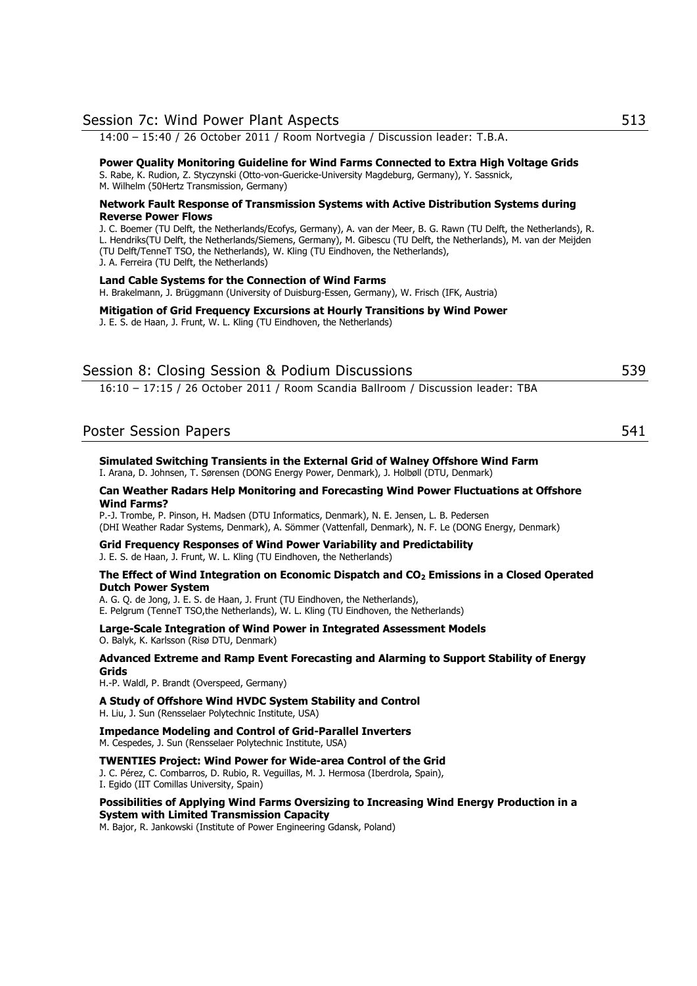| Session 7c: Wind Power Plant Aspects                                                                                                                                                                                                                                                                                                                                                                          | 513 |
|---------------------------------------------------------------------------------------------------------------------------------------------------------------------------------------------------------------------------------------------------------------------------------------------------------------------------------------------------------------------------------------------------------------|-----|
| 14:00 - 15:40 / 26 October 2011 / Room Nortvegia / Discussion leader: T.B.A.                                                                                                                                                                                                                                                                                                                                  |     |
| Power Quality Monitoring Guideline for Wind Farms Connected to Extra High Voltage Grids<br>S. Rabe, K. Rudion, Z. Styczynski (Otto-von-Guericke-University Magdeburg, Germany), Y. Sassnick,<br>M. Wilhelm (50Hertz Transmission, Germany)                                                                                                                                                                    |     |
| Network Fault Response of Transmission Systems with Active Distribution Systems during                                                                                                                                                                                                                                                                                                                        |     |
| <b>Reverse Power Flows</b><br>J. C. Boemer (TU Delft, the Netherlands/Ecofys, Germany), A. van der Meer, B. G. Rawn (TU Delft, the Netherlands), R.<br>L. Hendriks(TU Delft, the Netherlands/Siemens, Germany), M. Gibescu (TU Delft, the Netherlands), M. van der Meijden<br>(TU Delft/TenneT TSO, the Netherlands), W. Kling (TU Eindhoven, the Netherlands),<br>J. A. Ferreira (TU Delft, the Netherlands) |     |
| Land Cable Systems for the Connection of Wind Farms<br>H. Brakelmann, J. Brüggmann (University of Duisburg-Essen, Germany), W. Frisch (IFK, Austria)                                                                                                                                                                                                                                                          |     |
| Mitigation of Grid Frequency Excursions at Hourly Transitions by Wind Power<br>J. E. S. de Haan, J. Frunt, W. L. Kling (TU Eindhoven, the Netherlands)                                                                                                                                                                                                                                                        |     |
| Session 8: Closing Session & Podium Discussions                                                                                                                                                                                                                                                                                                                                                               | 539 |
| 16:10 - 17:15 / 26 October 2011 / Room Scandia Ballroom / Discussion leader: TBA                                                                                                                                                                                                                                                                                                                              |     |
| <b>Poster Session Papers</b>                                                                                                                                                                                                                                                                                                                                                                                  | 541 |
|                                                                                                                                                                                                                                                                                                                                                                                                               |     |
| Simulated Switching Transients in the External Grid of Walney Offshore Wind Farm<br>I. Arana, D. Johnsen, T. Sørensen (DONG Energy Power, Denmark), J. Holbøll (DTU, Denmark)                                                                                                                                                                                                                                 |     |
| Can Weather Radars Help Monitoring and Forecasting Wind Power Fluctuations at Offshore<br><b>Wind Farms?</b>                                                                                                                                                                                                                                                                                                  |     |
| P.-J. Trombe, P. Pinson, H. Madsen (DTU Informatics, Denmark), N. E. Jensen, L. B. Pedersen<br>(DHI Weather Radar Systems, Denmark), A. Sömmer (Vattenfall, Denmark), N. F. Le (DONG Energy, Denmark)                                                                                                                                                                                                         |     |
| Grid Frequency Responses of Wind Power Variability and Predictability<br>J. E. S. de Haan, J. Frunt, W. L. Kling (TU Eindhoven, the Netherlands)                                                                                                                                                                                                                                                              |     |
| The Effect of Wind Integration on Economic Dispatch and CO <sub>2</sub> Emissions in a Closed Operated<br><b>Dutch Power System</b>                                                                                                                                                                                                                                                                           |     |
| A. G. Q. de Jong, J. E. S. de Haan, J. Frunt (TU Eindhoven, the Netherlands),<br>E. Pelgrum (TenneT TSO, the Netherlands), W. L. Kling (TU Eindhoven, the Netherlands)                                                                                                                                                                                                                                        |     |
| Large-Scale Integration of Wind Power in Integrated Assessment Models<br>O. Balyk, K. Karlsson (Risø DTU, Denmark)                                                                                                                                                                                                                                                                                            |     |
| Advanced Extreme and Ramp Event Forecasting and Alarming to Support Stability of Energy<br>Grids<br>H.-P. Waldl, P. Brandt (Overspeed, Germany)                                                                                                                                                                                                                                                               |     |
| A Study of Offshore Wind HVDC System Stability and Control<br>H. Liu, J. Sun (Rensselaer Polytechnic Institute, USA)                                                                                                                                                                                                                                                                                          |     |
| <b>Impedance Modeling and Control of Grid-Parallel Inverters</b><br>M. Cespedes, J. Sun (Rensselaer Polytechnic Institute, USA)                                                                                                                                                                                                                                                                               |     |
| <b>TWENTIES Project: Wind Power for Wide-area Control of the Grid</b><br>J. C. Pérez, C. Combarros, D. Rubio, R. Veguillas, M. J. Hermosa (Iberdrola, Spain),<br>I. Egido (IIT Comillas University, Spain)                                                                                                                                                                                                    |     |
| Possibilities of Applying Wind Farms Oversizing to Increasing Wind Energy Production in a<br><b>System with Limited Transmission Capacity</b><br>M. Bajor, R. Jankowski (Institute of Power Engineering Gdansk, Poland)                                                                                                                                                                                       |     |
|                                                                                                                                                                                                                                                                                                                                                                                                               |     |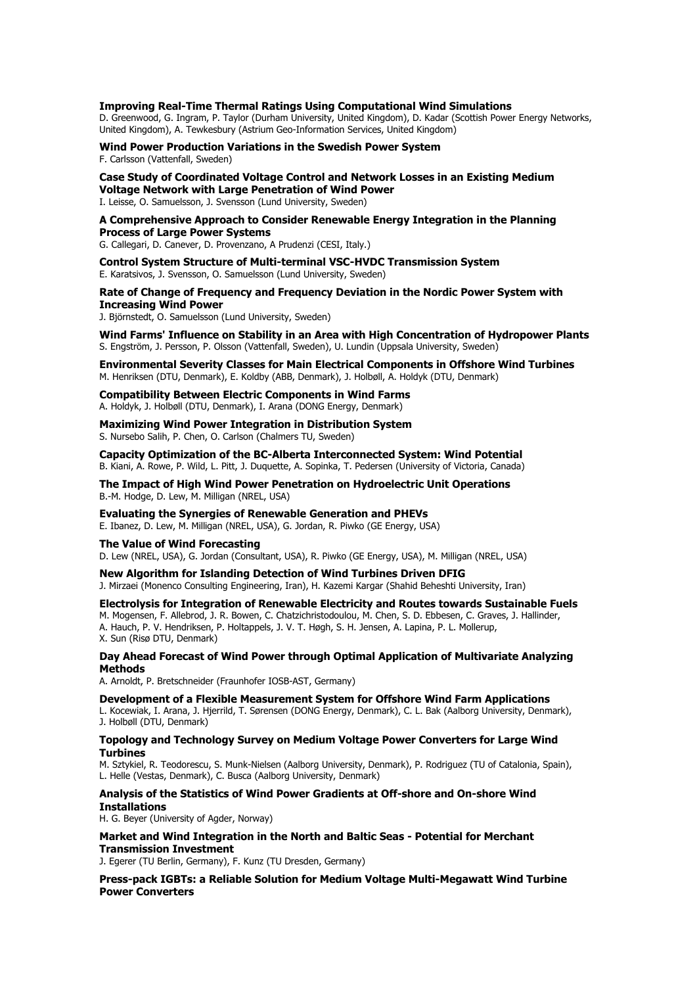#### **Improving Real-Time Thermal Ratings Using Computational Wind Simulations**

D. Greenwood, G. Ingram, P. Taylor (Durham University, United Kingdom), D. Kadar (Scottish Power Energy Networks, United Kingdom), A. Tewkesbury (Astrium Geo-Information Services, United Kingdom)

**Wind Power Production Variations in the Swedish Power System**  F. Carlsson (Vattenfall, Sweden)

**Case Study of Coordinated Voltage Control and Network Losses in an Existing Medium Voltage Network with Large Penetration of Wind Power**  I. Leisse, O. Samuelsson, J. Svensson (Lund University, Sweden)

#### **A Comprehensive Approach to Consider Renewable Energy Integration in the Planning Process of Large Power Systems**

G. Callegari, D. Canever, D. Provenzano, A Prudenzi (CESI, Italy.)

**Control System Structure of Multi-terminal VSC-HVDC Transmission System**  E. Karatsivos, J. Svensson, O. Samuelsson (Lund University, Sweden)

#### **Rate of Change of Frequency and Frequency Deviation in the Nordic Power System with Increasing Wind Power**

J. Björnstedt, O. Samuelsson (Lund University, Sweden)

**Wind Farms' Influence on Stability in an Area with High Concentration of Hydropower Plants**  S. Engström, J. Persson, P. Olsson (Vattenfall, Sweden), U. Lundin (Uppsala University, Sweden)

**Environmental Severity Classes for Main Electrical Components in Offshore Wind Turbines**  M. Henriksen (DTU, Denmark), E. Koldby (ABB, Denmark), J. Holbøll, A. Holdyk (DTU, Denmark)

**Compatibility Between Electric Components in Wind Farms**  A. Holdyk, J. Holbøll (DTU, Denmark), I. Arana (DONG Energy, Denmark)

#### **Maximizing Wind Power Integration in Distribution System**  S. Nursebo Salih, P. Chen, O. Carlson (Chalmers TU, Sweden)

**Capacity Optimization of the BC-Alberta Interconnected System: Wind Potential**  B. Kiani, A. Rowe, P. Wild, L. Pitt, J. Duquette, A. Sopinka, T. Pedersen (University of Victoria, Canada)

**The Impact of High Wind Power Penetration on Hydroelectric Unit Operations**  B.-M. Hodge, D. Lew, M. Milligan (NREL, USA)

#### **Evaluating the Synergies of Renewable Generation and PHEVs**

E. Ibanez, D. Lew, M. Milligan (NREL, USA), G. Jordan, R. Piwko (GE Energy, USA)

#### **The Value of Wind Forecasting**

D. Lew (NREL, USA), G. Jordan (Consultant, USA), R. Piwko (GE Energy, USA), M. Milligan (NREL, USA)

#### **New Algorithm for Islanding Detection of Wind Turbines Driven DFIG**

J. Mirzaei (Monenco Consulting Engineering, Iran), H. Kazemi Kargar (Shahid Beheshti University, Iran)

#### **Electrolysis for Integration of Renewable Electricity and Routes towards Sustainable Fuels**

M. Mogensen, F. Allebrod, J. R. Bowen, C. Chatzichristodoulou, M. Chen, S. D. Ebbesen, C. Graves, J. Hallinder, A. Hauch, P. V. Hendriksen, P. Holtappels, J. V. T. Høgh, S. H. Jensen, A. Lapina, P. L. Mollerup, X. Sun (Risø DTU, Denmark)

#### **Day Ahead Forecast of Wind Power through Optimal Application of Multivariate Analyzing Methods**

A. Arnoldt, P. Bretschneider (Fraunhofer IOSB-AST, Germany)

#### **Development of a Flexible Measurement System for Offshore Wind Farm Applications**

L. Kocewiak, I. Arana, J. Hjerrild, T. Sørensen (DONG Energy, Denmark), C. L. Bak (Aalborg University, Denmark), J. Holbøll (DTU, Denmark)

#### **Topology and Technology Survey on Medium Voltage Power Converters for Large Wind Turbines**

M. Sztykiel, R. Teodorescu, S. Munk-Nielsen (Aalborg University, Denmark), P. Rodriguez (TU of Catalonia, Spain), L. Helle (Vestas, Denmark), C. Busca (Aalborg University, Denmark)

#### **Analysis of the Statistics of Wind Power Gradients at Off-shore and On-shore Wind Installations**

H. G. Beyer (University of Agder, Norway)

#### **Market and Wind Integration in the North and Baltic Seas - Potential for Merchant Transmission Investment**

J. Egerer (TU Berlin, Germany), F. Kunz (TU Dresden, Germany)

#### **Press-pack IGBTs: a Reliable Solution for Medium Voltage Multi-Megawatt Wind Turbine Power Converters**